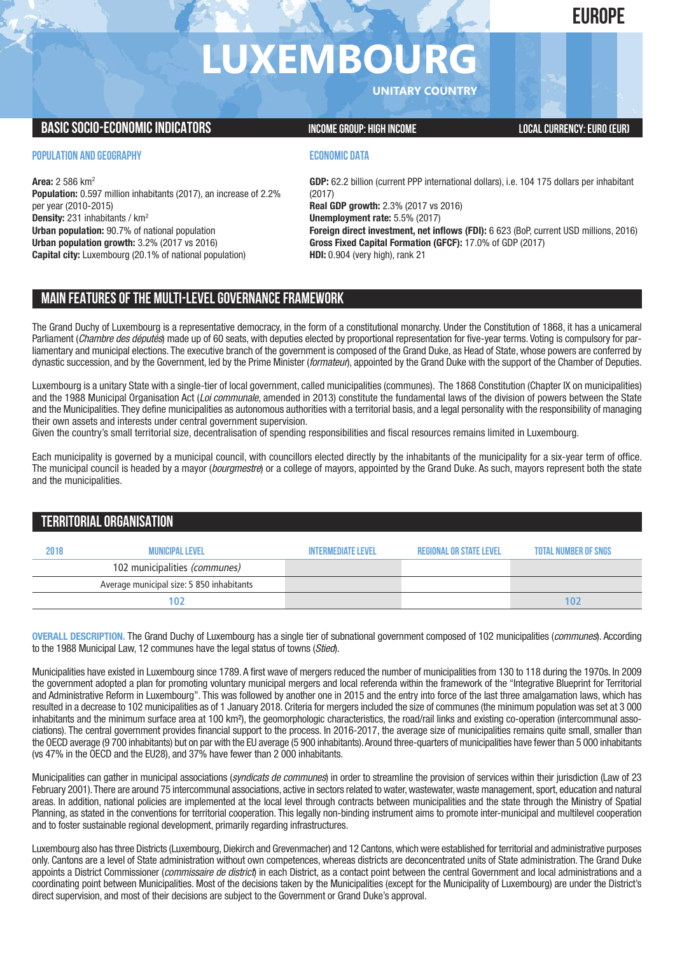# **EUROPE**

# **LUXEMBOURG**

**UNITARY COUNTRY**

## **BASIC SOCIO-ECONOMIC INDICATORS INCOME GROUP:** HIGH INCOME GROUP: HIGH INCOME

#### **POPULATION AND GEOGRAPHY**

**Area:** 2 586 km2 **Population:** 0.597 million inhabitants (2017), an increase of 2.2% per year (2010-2015) **Density:** 231 inhabitants / km2 **Urban population:** 90.7% of national population **Urban population growth:** 3.2% (2017 vs 2016) **Capital city:** Luxembourg (20.1% of national population)

### **ECONOMIC DATA**

**GDP:** 62.2 billion (current PPP international dollars), i.e. 104 175 dollars per inhabitant (2017) **Real GDP growth:** 2.3% (2017 vs 2016) **Unemployment rate:** 5.5% (2017)

**Foreign direct investment, net inflows (FDI):** 6 623 (BoP, current USD millions, 2016) **Gross Fixed Capital Formation (GFCF):** 17.0% of GDP (2017) **HDI:** 0.904 (very high), rank 21

# **MAIN FEATURESOFTHE MULTI-LEVELGOVERNANCEFRAMEWORK**

The Grand Duchy of Luxembourg is a representative democracy, in the form of a constitutional monarchy. Under the Constitution of 1868, it has a unicameral Parliament (*Chambre des députés*) made up of 60 seats, with deputies elected by proportional representation for five-year terms. Voting is compulsory for parliamentary and municipal elections. The executive branch of the government is composed of the Grand Duke, as Head of State, whose powers are conferred by dynastic succession, and by the Government, led by the Prime Minister (*formateur*), appointed by the Grand Duke with the support of the Chamber of Deputies.

Luxembourg is a unitary State with a single-tier of local government, called municipalities (communes). The 1868 Constitution (Chapter IX on municipalities) and the 1988 Municipal Organisation Act (*Loi communale*, amended in 2013) constitute the fundamental laws of the division of powers between the State and the Municipalities. They define municipalities as autonomous authorities with a territorial basis, and a legal personality with the responsibility of managing their own assets and interests under central government supervision.

Given the country's small territorial size, decentralisation of spending responsibilities and fiscal resources remains limited in Luxembourg.

Each municipality is governed by a municipal council, with councillors elected directly by the inhabitants of the municipality for a six-year term of office. The municipal council is headed by a mayor (*bourgmestre*) or a college of mayors, appointed by the Grand Duke. As such, mayors represent both the state and the municipalities.

# **TERRITORIALORGANISATION**

| 2018 | <b>MUNICIPAL LEVFI</b>                    | INTFRMFDIATF I FVFI | <b>REGIONAL OR STATE LEVEL</b> | <b>TOTAL NUMBER OF SNGS</b> |
|------|-------------------------------------------|---------------------|--------------------------------|-----------------------------|
|      | 102 municipalities (communes)             |                     |                                |                             |
|      | Average municipal size: 5 850 inhabitants |                     |                                |                             |
|      | 102                                       |                     |                                | 102                         |

**OVERALL DESCRIPTION.** The Grand Duchy of Luxembourg has a single tier of subnational government composed of 102 municipalities (*communes*). According to the 1988 Municipal Law, 12 communes have the legal status of towns (*Stied*).

Municipalities have existed in Luxembourg since 1789. A first wave of mergers reduced the number of municipalities from 130 to 118 during the 1970s. In 2009 the government adopted a plan for promoting voluntary municipal mergers and local referenda within the framework of the "Integrative Blueprint for Territorial and Administrative Reform in Luxembourg". This was followed by another one in 2015 and the entry into force of the last three amalgamation laws, which has resulted in a decrease to 102 municipalities as of 1 January 2018. Criteria for mergers included the size of communes (the minimum population was set at 3 000 inhabitants and the minimum surface area at 100 km<sup>2</sup>), the geomorphologic characteristics, the road/rail links and existing co-operation (intercommunal associations). The central government provides financial support to the process. In 2016-2017, the average size of municipalities remains quite small, smaller than the OECD average (9 700 inhabitants) but on par with the EU average (5 900 inhabitants).Around three-quarters of municipalities have fewer than 5 000 inhabitants (vs 47% in the OECD and the EU28), and 37% have fewer than 2 000 inhabitants.

Municipalities can gather in municipal associations (*syndicats de communes*) in order to streamline the provision of services within their jurisdiction (Law of 23 February 2001). There are around 75 intercommunal associations, active in sectors related to water, wastewater, waste management, sport, education and natural areas. In addition, national policies are implemented at the local level through contracts between municipalities and the state through the Ministry of Spatial Planning, as stated in the conventions for territorial cooperation. This legally non-binding instrument aims to promote inter-municipal and multilevel cooperation and to foster sustainable regional development, primarily regarding infrastructures.

Luxembourg also has three Districts (Luxembourg, Diekirch and Grevenmacher) and 12 Cantons, which were established for territorial and administrative purposes only. Cantons are a level of State administration without own competences, whereas districts are deconcentrated units of State administration. The Grand Duke appoints a District Commissioner (*commissaire de district*) in each District, as a contact point between the central Government and local administrations and a coordinating point between Municipalities. Most of the decisions taken by the Municipalities (except for the Municipality of Luxembourg) are under the District's direct supervision, and most of their decisions are subject to the Government or Grand Duke's approval.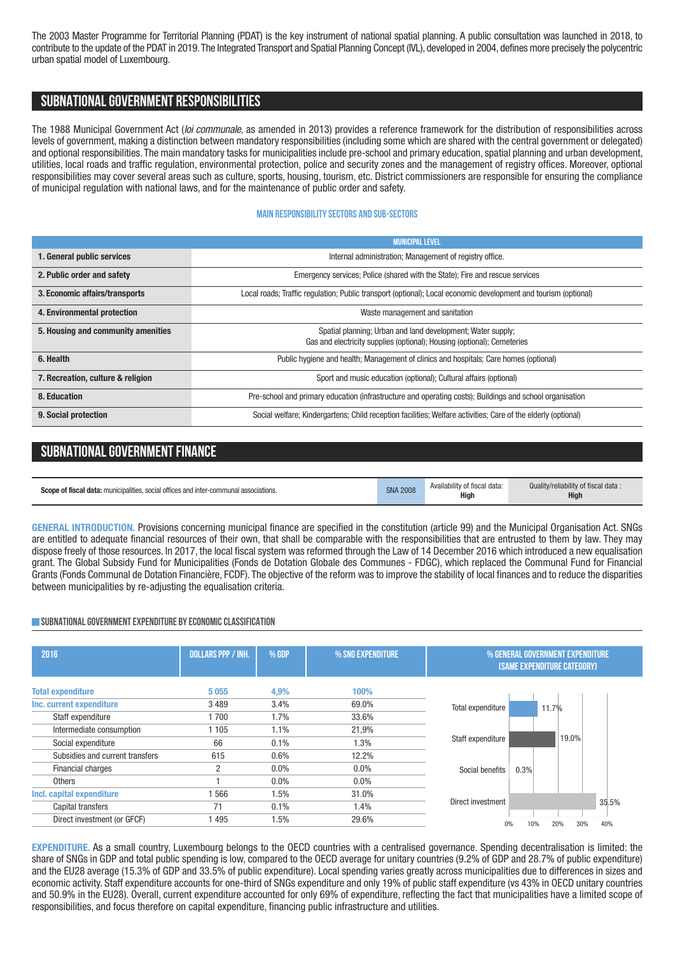The 2003 Master Programme for Territorial Planning (PDAT) is the key instrument of national spatial planning. A public consultation was launched in 2018, to contribute to the update of the PDAT in 2019.The Integrated Transport and Spatial Planning Concept (IVL), developed in 2004, defines more precisely the polycentric urban spatial model of Luxembourg.

### **SUBNATIONALGOVERNMENT RESPONSIBILITIES**

The 1988 Municipal Government Act (*loi communale*, as amended in 2013) provides a reference framework for the distribution of responsibilities across levels of government, making a distinction between mandatory responsibilities (including some which are shared with the central government or delegated) and optional responsibilities. The main mandatory tasks for municipalities include pre-school and primary education, spatial planning and urban development, utilities, local roads and traffic regulation, environmental protection, police and security zones and the management of registry offices. Moreover, optional responsibilities may cover several areas such as culture, sports, housing, tourism, etc. District commissioners are responsible for ensuring the compliance of municipal regulation with national laws, and for the maintenance of public order and safety.

#### **Main responsibilitysectors and sub-sectors**

|                                    | <b>MUNICIPAL LEVEL</b>                                                                                                                 |  |
|------------------------------------|----------------------------------------------------------------------------------------------------------------------------------------|--|
| 1. General public services         | Internal administration; Management of registry office.                                                                                |  |
| 2. Public order and safety         | Emergency services; Police (shared with the State); Fire and rescue services                                                           |  |
| 3. Economic affairs/transports     | Local roads; Traffic regulation; Public transport (optional); Local economic development and tourism (optional)                        |  |
| 4. Environmental protection        | Waste management and sanitation                                                                                                        |  |
| 5. Housing and community amenities | Spatial planning; Urban and land development; Water supply;<br>Gas and electricity supplies (optional); Housing (optional); Cemeteries |  |
| 6. Health                          | Public hygiene and health; Management of clinics and hospitals; Care homes (optional)                                                  |  |
| 7. Recreation, culture & religion  | Sport and music education (optional); Cultural affairs (optional)                                                                      |  |
| 8. Education                       | Pre-school and primary education (infrastructure and operating costs); Buildings and school organisation                               |  |
| 9. Social protection               | Social welfare; Kindergartens; Child reception facilities; Welfare activities; Care of the elderly (optional)                          |  |

# **SUBNATIONAL GOVERNMENT FINANCE**

| <b>Scope of fiscal data:</b> municipalities, social offices and inter-communal associations. | <b>SNA 2008</b> | Availability of fiscal data.<br><b>High</b> | Quality/reliability of fiscal data:<br><b>High</b> |
|----------------------------------------------------------------------------------------------|-----------------|---------------------------------------------|----------------------------------------------------|
|----------------------------------------------------------------------------------------------|-----------------|---------------------------------------------|----------------------------------------------------|

**GENERAL INTRODUCTION.** Provisions concerning municipal finance are specified in the constitution (article 99) and the Municipal Organisation Act. SNGs are entitled to adequate financial resources of their own, that shall be comparable with the responsibilities that are entrusted to them by law. They may dispose freely of those resources. In 2017, the local fiscal system was reformed through the Law of 14 December 2016 which introduced a new equalisation grant. The Global Subsidy Fund for Municipalities (Fonds de Dotation Globale des Communes - FDGC), which replaced the Communal Fund for Financial Grants (Fonds Communal de Dotation Financière, FCDF). The objective of the reform was to improve the stability of local finances and to reduce the disparities between municipalities by re-adjusting the equalisation criteria.

#### **SUBNATIONAL GOVERNMENT EXPENDITURE BY ECONOMIC CLASSIFICATION**

| 2016                            | <b>DOLLARS PPP / INH.</b> | % GDP   | % SNG EXPENDITURE | % GENERAL GOVERNMENT EXPENDITURE<br><b>(SAME EXPENDITURE CATEGORY)</b> |
|---------------------------------|---------------------------|---------|-------------------|------------------------------------------------------------------------|
| <b>Total expenditure</b>        | 5055                      | 4,9%    | 100%              |                                                                        |
| Inc. current expenditure        | 3489                      | 3.4%    | 69.0%             | Total expenditure<br>11.7%                                             |
| Staff expenditure               | 1700                      | 1.7%    | 33.6%             |                                                                        |
| Intermediate consumption        | 1 1 0 5                   | 1.1%    | 21,9%             |                                                                        |
| Social expenditure              | 66                        | 0.1%    | 1.3%              | 19.0%<br>Staff expenditure                                             |
| Subsidies and current transfers | 615                       | 0.6%    | 12.2%             |                                                                        |
| <b>Financial charges</b>        | n                         | 0.0%    | 0.0%              | 0.3%<br>Social benefits                                                |
| Others                          |                           | $0.0\%$ | $0.0\%$           |                                                                        |
| Incl. capital expenditure       | 1566                      | 1.5%    | 31.0%             |                                                                        |
| Capital transfers               | 71                        | 0.1%    | 1.4%              | Direct investment<br>35.5%                                             |
| Direct investment (or GFCF)     | 495                       | 1.5%    | 29.6%             | 40%<br>10%<br>20%<br>30%<br>0%                                         |

**EXPENDITURE.** As a small country, Luxembourg belongs to the OECD countries with a centralised governance. Spending decentralisation is limited: the share of SNGs in GDP and total public spending is low, compared to the OECD average for unitary countries (9.2% of GDP and 28.7% of public expenditure) and the EU28 average (15.3% of GDP and 33.5% of public expenditure). Local spending varies greatly across municipalities due to differences in sizes and economic activity. Staff expenditure accounts for one-third of SNGs expenditure and only 19% of public staff expenditure (vs 43% in OECD unitary countries and 50.9% in the EU28). Overall, current expenditure accounted for only 69% of expenditure, reflecting the fact that municipalities have a limited scope of responsibilities, and focus therefore on capital expenditure, financing public infrastructure and utilities.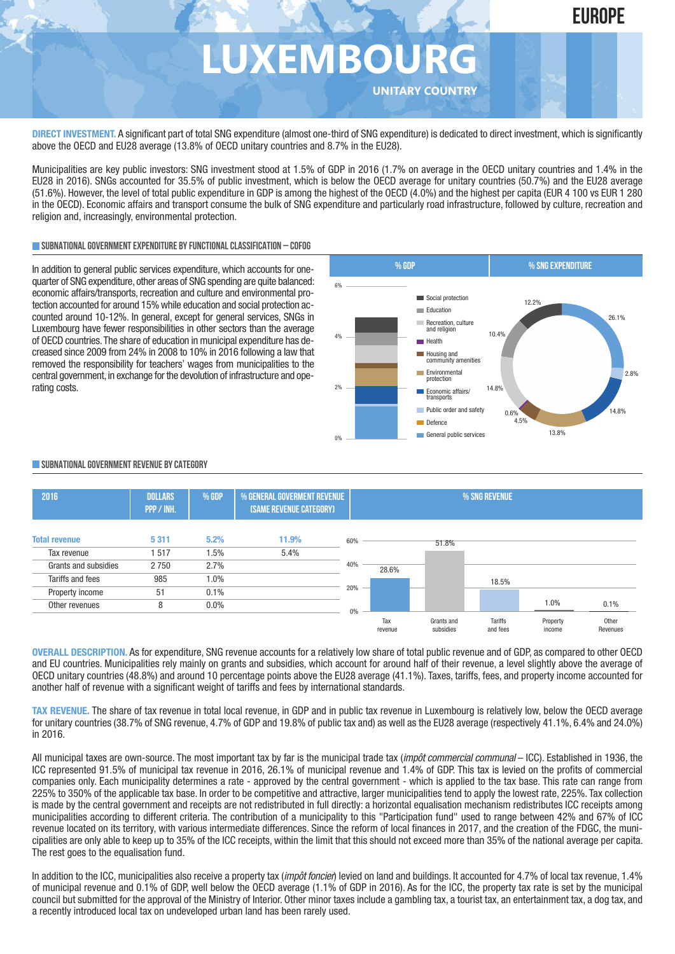# **LUXEMBOURG**

**UNITARY COUNTRY**

**DIRECT INVESTMENT.** A significant part of total SNG expenditure (almost one-third of SNG expenditure) is dedicated to direct investment,which is significantly above the OECD and EU28 average (13.8% of OECD unitary countries and 8.7% in the EU28).

Municipalities are key public investors: SNG investment stood at 1.5% of GDP in 2016 (1.7% on average in the OECD unitary countries and 1.4% in the EU28 in 2016). SNGs accounted for 35.5% of public investment, which is below the OECD average for unitary countries (50.7%) and the EU28 average (51.6%). However, the level of total public expenditure in GDP is among the highest of the OECD (4.0%) and the highest per capita (EUR 4 100 vs EUR 1 280 in the OECD). Economic affairs and transport consume the bulk of SNG expenditure and particularly road infrastructure, followed by culture, recreation and religion and, increasingly, environmental protection.

#### **SUBNATIONALGOVERNMENTEXPENDITURE BYFUNCTIONALCLASSIFICATION – COFOG**

In addition to general public services expenditure, which accounts for onequarter of SNG expenditure, other areas of SNG spending are quite balanced: economic affairs/transports, recreation and culture and environmental protection accounted for around 15% while education and social protection accounted around 10-12%. In general, except for general services, SNGs in Luxembourg have fewer responsibilities in other sectors than the average of OECD countries.The share of education in municipal expenditure has decreased since 2009 from 24% in 2008 to 10% in 2016 following a law that removed the responsibility for teachers' wages from municipalities to the central government, in exchange for the devolution of infrastructure and operating costs.



#### **SUBNATIONALGOVERNMENT REVENUE BYCATEGORY**



**OVERALL DESCRIPTION.** As for expenditure, SNG revenue accounts for a relatively low share of total public revenue and of GDP, as compared to other OECD and EU countries. Municipalities rely mainly on grants and subsidies, which account for around half of their revenue, a level slightly above the average of OECD unitary countries (48.8%) and around 10 percentage points above the EU28 average (41.1%). Taxes, tariffs, fees, and property income accounted for another half of revenue with a significant weight of tariffs and fees by international standards.

**TAX REVENUE.** The share of tax revenue in total local revenue, in GDP and in public tax revenue in Luxembourg is relatively low, below the OECD average for unitary countries (38.7% of SNG revenue, 4.7% of GDP and 19.8% of public tax and) as well as the EU28 average (respectively 41.1%, 6.4% and 24.0%) in 2016.

All municipal taxes are own-source. The most important tax by far is the municipal trade tax (*impôt commercial communal* – ICC). Established in 1936, the ICC represented 91.5% of municipal tax revenue in 2016, 26.1% of municipal revenue and 1.4% of GDP. This tax is levied on the profits of commercial companies only. Each municipality determines a rate - approved by the central government - which is applied to the tax base. This rate can range from 225% to 350% of the applicable tax base. In order to be competitive and attractive, larger municipalities tend to apply the lowest rate, 225%. Tax collection is made by the central government and receipts are not redistributed in full directly: a horizontal equalisation mechanism redistributes ICC receipts among municipalities according to different criteria. The contribution of a municipality to this "Participation fund" used to range between 42% and 67% of ICC revenue located on its territory, with various intermediate differences. Since the reform of local finances in 2017, and the creation of the FDGC, the municipalities are only able to keep up to 35% of the ICC receipts, within the limit that this should not exceed more than 35% of the national average per capita. The rest goes to the equalisation fund.

In addition to the ICC, municipalities also receive a property tax (*impôt foncier*) levied on land and buildings. It accounted for 4.7% of local tax revenue, 1.4% of municipal revenue and 0.1% of GDP, well below the OECD average (1.1% of GDP in 2016). As for the ICC, the property tax rate is set by the municipal council but submitted for the approval of the Ministry of Interior. Other minor taxes include a gambling tax, a tourist tax, an entertainment tax, a dog tax, and a recently introduced local tax on undeveloped urban land has been rarely used.